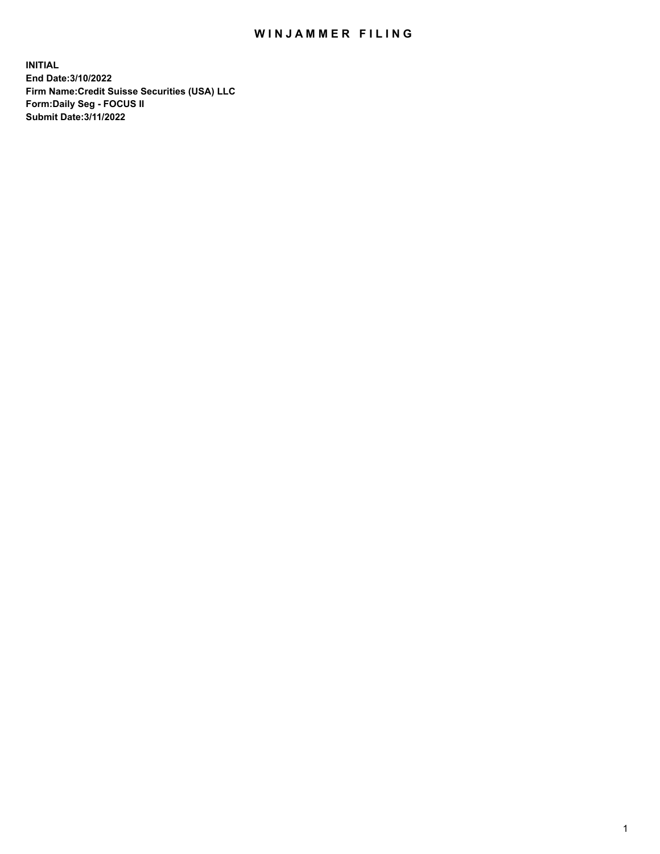# WIN JAMMER FILING

**INITIAL End Date:3/10/2022 Firm Name:Credit Suisse Securities (USA) LLC Form:Daily Seg - FOCUS II Submit Date:3/11/2022**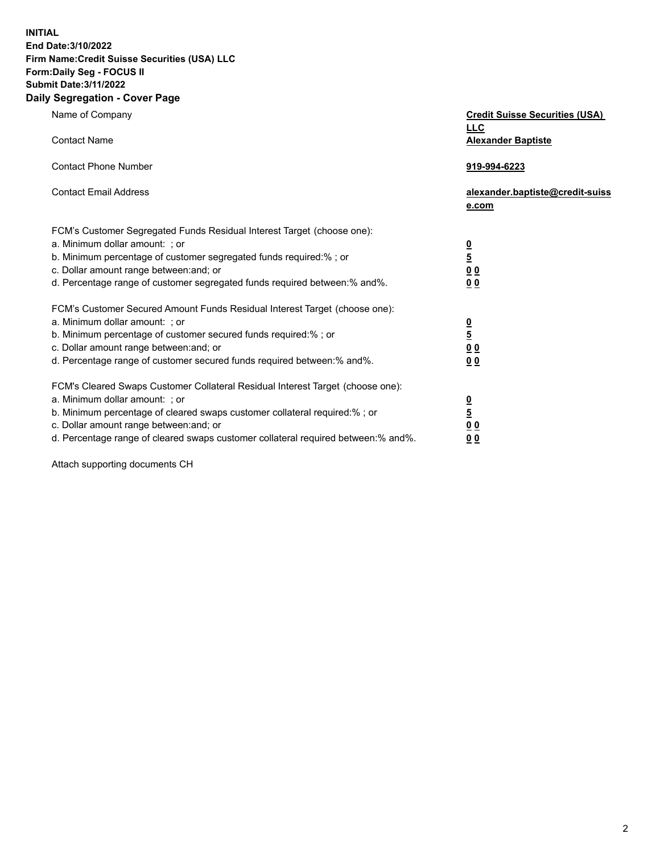**INITIAL End Date:3/10/2022** 

#### **Firm Name:Credit Suisse Securities (USA) LLC Form:Daily Seg - FOCUS II Submit Date:3/11/2022**

#### **Daily Segregation - Cover Page**

| Name of Company                                                                                                                                                                                                                                                                                                                | <b>Credit Suisse Securities (USA)</b><br><b>LLC</b>              |
|--------------------------------------------------------------------------------------------------------------------------------------------------------------------------------------------------------------------------------------------------------------------------------------------------------------------------------|------------------------------------------------------------------|
| <b>Contact Name</b>                                                                                                                                                                                                                                                                                                            | <b>Alexander Baptiste</b>                                        |
| <b>Contact Phone Number</b>                                                                                                                                                                                                                                                                                                    | 919-994-6223                                                     |
| <b>Contact Email Address</b>                                                                                                                                                                                                                                                                                                   | alexander.baptiste@credit-suiss<br>e.com                         |
| FCM's Customer Segregated Funds Residual Interest Target (choose one):<br>a. Minimum dollar amount: ; or<br>b. Minimum percentage of customer segregated funds required:% ; or<br>c. Dollar amount range between: and; or<br>d. Percentage range of customer segregated funds required between:% and%.                         | $\frac{0}{5}$<br>0 <sub>0</sub><br>0 <sub>0</sub>                |
| FCM's Customer Secured Amount Funds Residual Interest Target (choose one):<br>a. Minimum dollar amount: ; or<br>b. Minimum percentage of customer secured funds required:% ; or<br>c. Dollar amount range between: and; or<br>d. Percentage range of customer secured funds required between:% and%.                           | $\frac{0}{5}$<br>$\underline{0} \underline{0}$<br>0 <sub>0</sub> |
| FCM's Cleared Swaps Customer Collateral Residual Interest Target (choose one):<br>a. Minimum dollar amount: ; or<br>b. Minimum percentage of cleared swaps customer collateral required:% ; or<br>c. Dollar amount range between: and; or<br>d. Percentage range of cleared swaps customer collateral required between:% and%. | $\frac{0}{5}$<br>0 <sub>0</sub><br>0 <sub>0</sub>                |

Attach supporting documents CH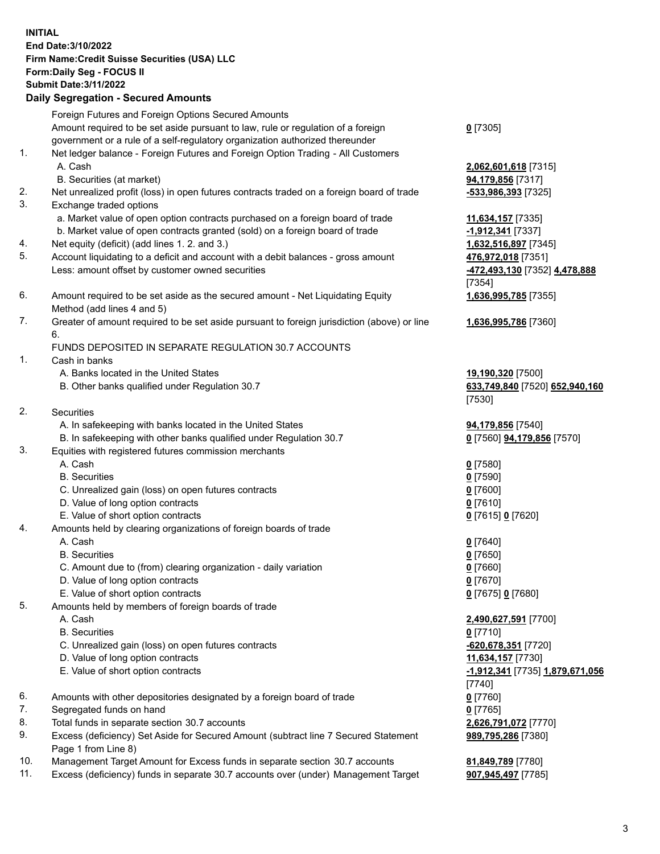### **INITIAL End Date:3/10/2022 Firm Name:Credit Suisse Securities (USA) LLC Form:Daily Seg - FOCUS II Submit Date:3/11/2022**

## **Daily Segregation - Secured Amounts**

|     | Foreign Futures and Foreign Options Secured Amounts                                         |                                 |
|-----|---------------------------------------------------------------------------------------------|---------------------------------|
|     | Amount required to be set aside pursuant to law, rule or regulation of a foreign            | $0$ [7305]                      |
|     | government or a rule of a self-regulatory organization authorized thereunder                |                                 |
| 1.  | Net ledger balance - Foreign Futures and Foreign Option Trading - All Customers             |                                 |
|     | A. Cash                                                                                     | 2,062,601,618 [7315]            |
|     | B. Securities (at market)                                                                   | 94,179,856 [7317]               |
| 2.  | Net unrealized profit (loss) in open futures contracts traded on a foreign board of trade   | <u>-533,986,393</u> [7325]      |
| 3.  | Exchange traded options                                                                     |                                 |
|     | a. Market value of open option contracts purchased on a foreign board of trade              | 11,634,157 [7335]               |
|     | b. Market value of open contracts granted (sold) on a foreign board of trade                | -1,912,341 [7337]               |
| 4.  | Net equity (deficit) (add lines 1. 2. and 3.)                                               | 1,632,516,897 [7345]            |
| 5.  | Account liquidating to a deficit and account with a debit balances - gross amount           | 476,972,018 [7351]              |
|     | Less: amount offset by customer owned securities                                            | -472,493,130 [7352] 4,478,888   |
|     |                                                                                             | [7354]                          |
| 6.  | Amount required to be set aside as the secured amount - Net Liquidating Equity              | 1,636,995,785 [7355]            |
|     | Method (add lines 4 and 5)                                                                  |                                 |
| 7.  | Greater of amount required to be set aside pursuant to foreign jurisdiction (above) or line | 1,636,995,786 [7360]            |
|     | 6.                                                                                          |                                 |
| 1.  | FUNDS DEPOSITED IN SEPARATE REGULATION 30.7 ACCOUNTS                                        |                                 |
|     | Cash in banks                                                                               |                                 |
|     | A. Banks located in the United States                                                       | 19,190,320 [7500]               |
|     | B. Other banks qualified under Regulation 30.7                                              | 633,749,840 [7520] 652,940,160  |
| 2.  | Securities                                                                                  | [7530]                          |
|     | A. In safekeeping with banks located in the United States                                   |                                 |
|     | B. In safekeeping with other banks qualified under Regulation 30.7                          | 94,179,856 [7540]               |
| 3.  | Equities with registered futures commission merchants                                       | 0 [7560] 94,179,856 [7570]      |
|     | A. Cash                                                                                     | $0$ [7580]                      |
|     | <b>B.</b> Securities                                                                        | $0$ [7590]                      |
|     | C. Unrealized gain (loss) on open futures contracts                                         | $0$ [7600]                      |
|     | D. Value of long option contracts                                                           | $0$ [7610]                      |
|     | E. Value of short option contracts                                                          | 0 [7615] 0 [7620]               |
| 4.  | Amounts held by clearing organizations of foreign boards of trade                           |                                 |
|     | A. Cash                                                                                     | $0$ [7640]                      |
|     | <b>B.</b> Securities                                                                        | $0$ [7650]                      |
|     | C. Amount due to (from) clearing organization - daily variation                             | $0$ [7660]                      |
|     | D. Value of long option contracts                                                           | $0$ [7670]                      |
|     | E. Value of short option contracts                                                          | 0 [7675] 0 [7680]               |
| 5.  | Amounts held by members of foreign boards of trade                                          |                                 |
|     | A. Cash                                                                                     | 2,490,627,591 [7700]            |
|     | <b>B.</b> Securities                                                                        | $0$ [7710]                      |
|     | C. Unrealized gain (loss) on open futures contracts                                         | -620,678,351 [7720]             |
|     | D. Value of long option contracts                                                           | 11,634,157 [7730]               |
|     | E. Value of short option contracts                                                          | -1,912,341 [7735] 1,879,671,056 |
|     |                                                                                             | [7740]                          |
| 6.  | Amounts with other depositories designated by a foreign board of trade                      | $0$ [7760]                      |
| 7.  | Segregated funds on hand                                                                    | $0$ [7765]                      |
| 8.  | Total funds in separate section 30.7 accounts                                               | 2,626,791,072 [7770]            |
| 9.  | Excess (deficiency) Set Aside for Secured Amount (subtract line 7 Secured Statement         | 989,795,286 [7380]              |
|     | Page 1 from Line 8)                                                                         |                                 |
| 10. | Management Target Amount for Excess funds in separate section 30.7 accounts                 | 81,849,789 [7780]               |
|     |                                                                                             |                                 |

11. Excess (deficiency) funds in separate 30.7 accounts over (under) Management Target **907,945,497** [7785]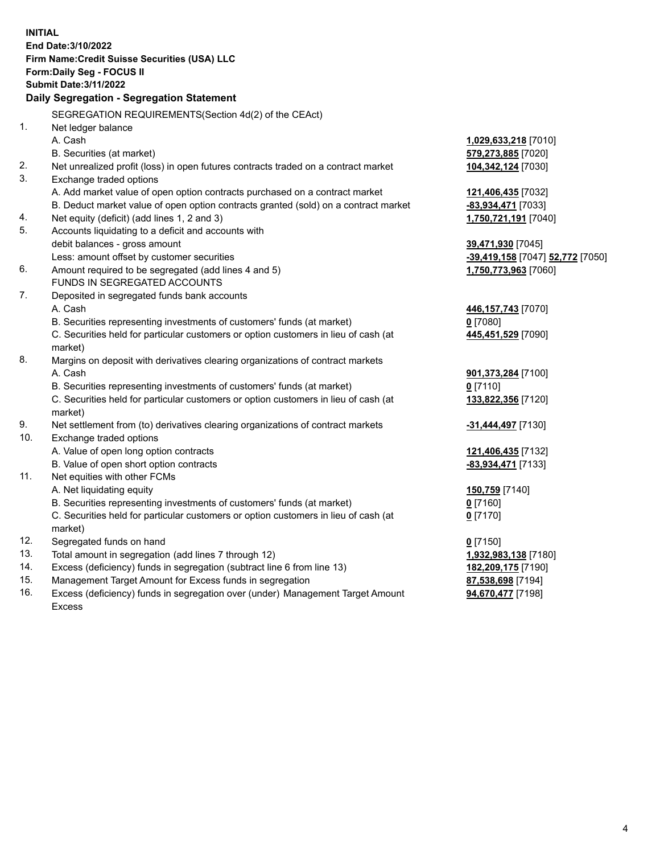**INITIAL End Date:3/10/2022 Firm Name:Credit Suisse Securities (USA) LLC Form:Daily Seg - FOCUS II Submit Date:3/11/2022 Daily Segregation - Segregation Statement** SEGREGATION REQUIREMENTS(Section 4d(2) of the CEAct) 1. Net ledger balance A. Cash **1,029,633,218** [7010] B. Securities (at market) **579,273,885** [7020] 2. Net unrealized profit (loss) in open futures contracts traded on a contract market **104,342,124** [7030] 3. Exchange traded options A. Add market value of open option contracts purchased on a contract market **121,406,435** [7032] B. Deduct market value of open option contracts granted (sold) on a contract market **-83,934,471** [7033] 4. Net equity (deficit) (add lines 1, 2 and 3) **1,750,721,191** [7040] 5. Accounts liquidating to a deficit and accounts with debit balances - gross amount **39,471,930** [7045] Less: amount offset by customer securities **-39,419,158** [7047] **52,772** [7050] 6. Amount required to be segregated (add lines 4 and 5) **1,750,773,963** [7060] FUNDS IN SEGREGATED ACCOUNTS 7. Deposited in segregated funds bank accounts A. Cash **446,157,743** [7070] B. Securities representing investments of customers' funds (at market) **0** [7080] C. Securities held for particular customers or option customers in lieu of cash (at market) **445,451,529** [7090] 8. Margins on deposit with derivatives clearing organizations of contract markets A. Cash **901,373,284** [7100] B. Securities representing investments of customers' funds (at market) **0** [7110] C. Securities held for particular customers or option customers in lieu of cash (at market) **133,822,356** [7120] 9. Net settlement from (to) derivatives clearing organizations of contract markets **-31,444,497** [7130] 10. Exchange traded options A. Value of open long option contracts **121,406,435** [7132] B. Value of open short option contracts **-83,934,471** [7133] 11. Net equities with other FCMs A. Net liquidating equity **150,759** [7140] B. Securities representing investments of customers' funds (at market) **0** [7160] C. Securities held for particular customers or option customers in lieu of cash (at market) **0** [7170] 12. Segregated funds on hand **0** [7150] 13. Total amount in segregation (add lines 7 through 12) **1,932,983,138** [7180] 14. Excess (deficiency) funds in segregation (subtract line 6 from line 13) **182,209,175** [7190] 15. Management Target Amount for Excess funds in segregation **87,538,698** [7194] 16. Excess (deficiency) funds in segregation over (under) Management Target Amount **94,670,477** [7198]

Excess